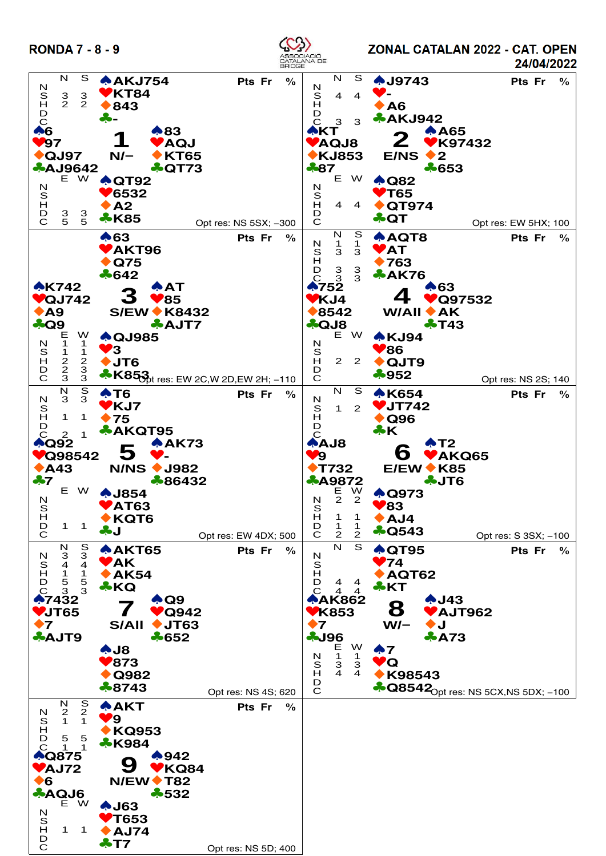

ZONAL CATALAN 2022 - CAT. OPEN 24/04/2022

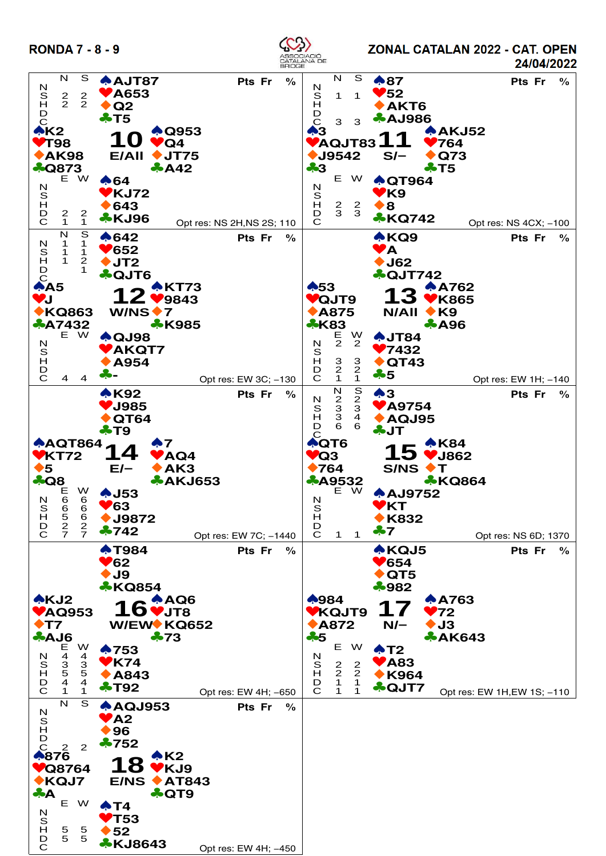

ZONAL CATALAN 2022 - CAT. OPEN 24/04/2022